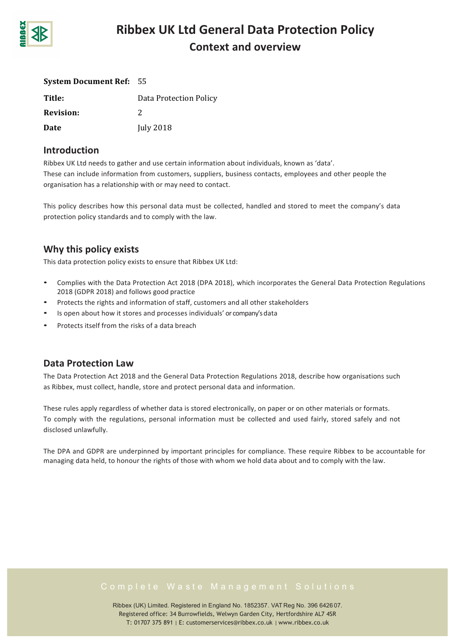

# **Ribbex UK Ltd General Data Protection Policy Context and overview**

| <b>System Document Ref: 55</b> |                        |
|--------------------------------|------------------------|
| Title:                         | Data Protection Policy |
| <b>Revision:</b>               | 2                      |
| Date                           | <b>July 2018</b>       |

### **Introduction**

Ribbex UK Ltd needs to gather and use certain information about individuals, known as 'data'. These can include information from customers, suppliers, business contacts, employees and other people the organisation has a relationship with or may need to contact.

This policy describes how this personal data must be collected, handled and stored to meet the company's data protection policy standards and to comply with the law.

### **Why this policy exists**

This data protection policy exists to ensure that Ribbex UK Ltd:

- Complies with the Data Protection Act 2018 (DPA 2018), which incorporates the General Data Protection Regulations 2018 (GDPR 2018) and follows good practice
- Protects the rights and information of staff, customers and all other stakeholders
- Is open about how it stores and processes individuals' or company's data
- Protects itself from the risks of a data breach

### **Data Protection Law**

The Data Protection Act 2018 and the General Data Protection Regulations 2018, describe how organisations such as Ribbex, must collect, handle, store and protect personal data and information.

These rules apply regardless of whether data is stored electronically, on paper or on other materials or formats. To comply with the regulations, personal information must be collected and used fairly, stored safely and not disclosed unlawfully.

The DPA and GDPR are underpinned by important principles for compliance. These require Ribbex to be accountable for managing data held, to honour the rights of those with whom we hold data about and to comply with the law.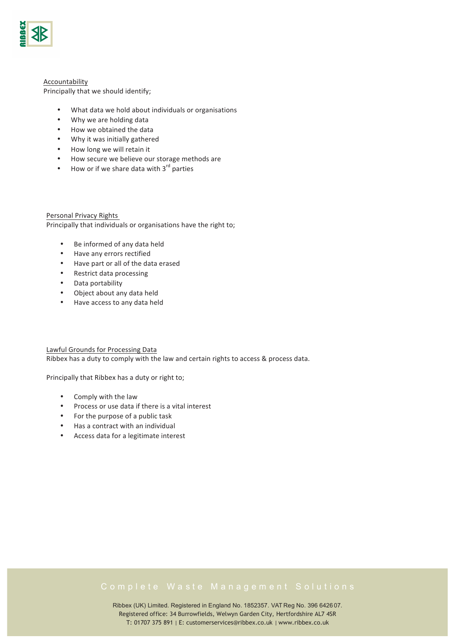

### Accountability Principally that we should identify;

- What data we hold about individuals or organisations
- Why we are holding data
- How we obtained the data
- Why it was initially gathered
- How long we will retain it
- How secure we believe our storage methods are
- How or if we share data with  $3<sup>rd</sup>$  parties

Personal Privacy Rights Principally that individuals or organisations have the right to;

- Be informed of any data held
- Have any errors rectified
- Have part or all of the data erased
- Restrict data processing
- Data portability
- Object about any data held
- Have access to any data held

Lawful Grounds for Processing Data Ribbex has a duty to comply with the law and certain rights to access & process data.

Principally that Ribbex has a duty or right to;

- Comply with the law
- Process or use data if there is a vital interest
- For the purpose of a public task
- Has a contract with an individual
- Access data for a legitimate interest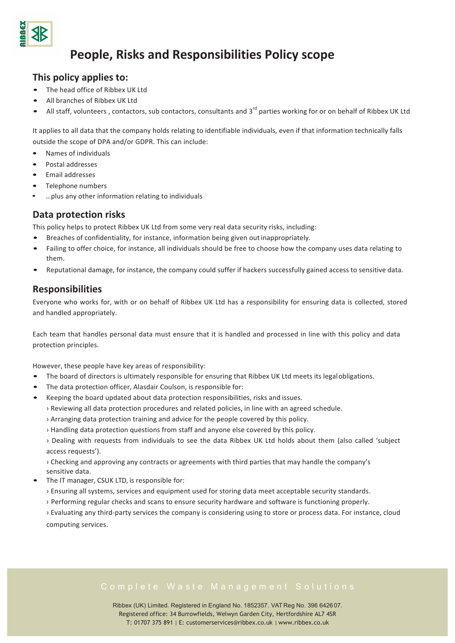

# **People, Risks and Responsibilities Policy scope**

### This policy applies to:

- The head office of Ribbex UK Ltd
- All branches of Ribbex UK Ltd
- All staff, volunteers, contactors, sub contactors, consultants and  $3^{rd}$  parties working for or on behalf of Ribbex UK Ltd

It applies to all data that the company holds relating to identifiable individuals, even if that information technically falls outside the scope of DPA and/or GDPR. This can include:

- Names of individuals
- Postal addresses
- Email addresses
- Telephone numbers
- ... plus any other information relating to individuals

### **Data protection risks**

This policy helps to protect Ribbex UK Ltd from some very real data security risks, including:

- Breaches of confidentiality, for instance, information being given out inappropriately.
- Failing to offer choice, for instance, all individuals should be free to choose how the company uses data relating to them.
- Reputational damage, for instance, the company could suffer if hackers successfully gained access to sensitive data.

### **Responsibilities**

Everyone who works for, with or on behalf of Ribbex UK Ltd has a responsibility for ensuring data is collected, stored and handled appropriately.

Each team that handles personal data must ensure that it is handled and processed in line with this policy and data protection principles.

However, these people have key areas of responsibility:

- The board of directors is ultimately responsible for ensuring that Ribbex UK Ltd meets its legalobligations.
- The data protection officer, Alasdair Coulson, is responsible for:
- Keeping the board updated about data protection responsibilities, risks and issues.
	- > Reviewing all data protection procedures and related policies, in line with an agreed schedule.
	- > Arranging data protection training and advice for the people covered by this policy.
	- > Handling data protection questions from staff and anyone else covered by this policy.
	- › Dealing with requests from individuals to see the data Ribbex UK Ltd holds about them (also called 'subject access requests').

> Checking and approving any contracts or agreements with third parties that may handle the company's sensitive data.

- The IT manager, CSUK LTD, is responsible for:
	- > Ensuring all systems, services and equipment used for storing data meet acceptable security standards.
	- > Performing regular checks and scans to ensure security hardware and software is functioning properly.

> Evaluating any third-party services the company is considering using to store or process data. For instance, cloud computing services.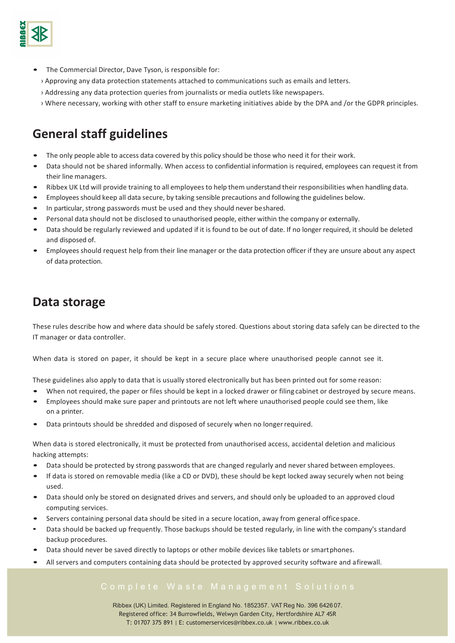

- The Commercial Director, Dave Tyson, is responsible for:
	- $\rightarrow$  Approving any data protection statements attached to communications such as emails and letters.
	- > Addressing any data protection queries from journalists or media outlets like newspapers.
	- > Where necessary, working with other staff to ensure marketing initiatives abide by the DPA and /or the GDPR principles.

# **General staff guidelines**

- The only people able to access data covered by this policy should be those who need it for their work.
- Data should not be shared informally. When access to confidential information is required, employees can request it from their line managers.
- Ribbex UK Ltd will provide training to all employees to help them understand their responsibilities when handling data.
- Employeesshould keep all data secure, by taking sensible precautions and following the guidelines below.
- In particular, strong passwords must be used and they should never be shared.
- Personal data should not be disclosed to unauthorised people, either within the company or externally.
- Data should be regularly reviewed and updated if it is found to be out of date. If no longer required, it should be deleted and disposed of.
- Employees should request help from their line manager or the data protection officer if they are unsure about any aspect of data protection.

# **Data storage**

These rules describe how and where data should be safely stored. Questions about storing data safely can be directed to the IT manager or data controller.

When data is stored on paper, it should be kept in a secure place where unauthorised people cannot see it.

These guidelines also apply to data that is usually stored electronically but has been printed out for some reason:

- When not required, the paper or files should be kept in a locked drawer or filing cabinet or destroyed by secure means.
- Employees should make sure paper and printouts are not left where unauthorised people could see them, like on a printer.
- Data printouts should be shredded and disposed of securely when no longer required.

When data is stored electronically, it must be protected from unauthorised access, accidental deletion and malicious hacking attempts:

- Data should be protected by strong passwords that are changed regularly and never shared between employees.
- If data is stored on removable media (like a CD or DVD), these should be kept locked away securely when not being used.
- Data should only be stored on designated drives and servers, and should only be uploaded to an approved cloud computing services.
- Servers containing personal data should be sited in a secure location, away from general office space.
- Data should be backed up frequently. Those backups should be tested regularly, in line with the company's standard backup procedures.
- Data should never be saved directly to laptops or other mobile devices like tablets or smartphones.
- All servers and computers containing data should be protected by approved security software and afirewall.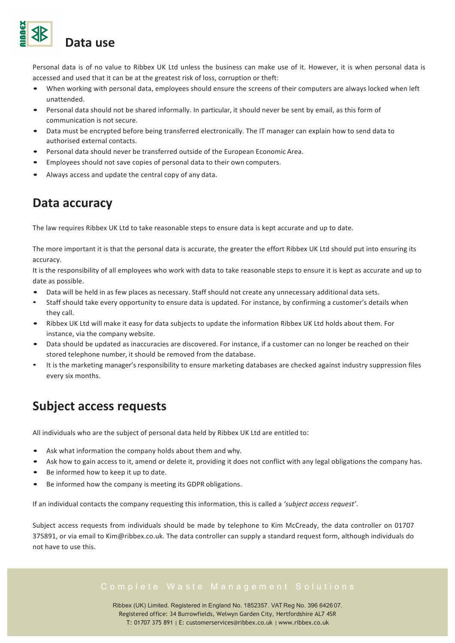

Personal data is of no value to Ribbex UK Ltd unless the business can make use of it. However, it is when personal data is accessed and used that it can be at the greatest risk of loss, corruption or theft:

- When working with personal data, employees should ensure the screens of their computers are always locked when left unattended.
- Personal data should not be shared informally. In particular, it should never be sent by email, as this form of communication is not secure.
- Data must be encrypted before being transferred electronically. The IT manager can explain how to send data to authorised external contacts.
- Personal data should never be transferred outside of the European Economic Area.
- Employees should not save copies of personal data to their own computers.
- Always access and update the central copy of any data.

# **Data accuracy**

The law requires Ribbex UK Ltd to take reasonable steps to ensure data is kept accurate and up to date.

The more important it is that the personal data is accurate, the greater the effort Ribbex UK Ltd should put into ensuring its accuracy.

It is the responsibility of all employees who work with data to take reasonable steps to ensure it is kept as accurate and up to date as possible.

- Data will be held in as few places as necessary. Staff should not create any unnecessary additional data sets.
- Staff should take every opportunity to ensure data is updated. For instance, by confirming a customer's details when they call.
- Ribbex UK Ltd will make it easy for data subjects to update the information Ribbex UK Ltd holds about them. For instance, via the company website.
- Data should be updated as inaccuracies are discovered. For instance, if a customer can no longer be reached on their stored telephone number, it should be removed from the database.
- It is the marketing manager's responsibility to ensure marketing databases are checked against industry suppression files every six months.

# **Subject access requests**

All individuals who are the subject of personal data held by Ribbex UK Ltd are entitled to:

- Ask what information the company holds about them and why.
- Ask how to gain access to it, amend or delete it, providing it does not conflict with any legal obligations the company has.
- Be informed how to keep it up to date.
- Be informed how the company is meeting its GDPR obligations.

If an individual contacts the company requesting this information, this is called a 'subject access request'.

Subject access requests from individuals should be made by telephone to Kim McCready, the data controller on 01707 375891, or via email to Kim@ribbex.co.uk. The data controller can supply a standard request form, although individuals do not have to use this.